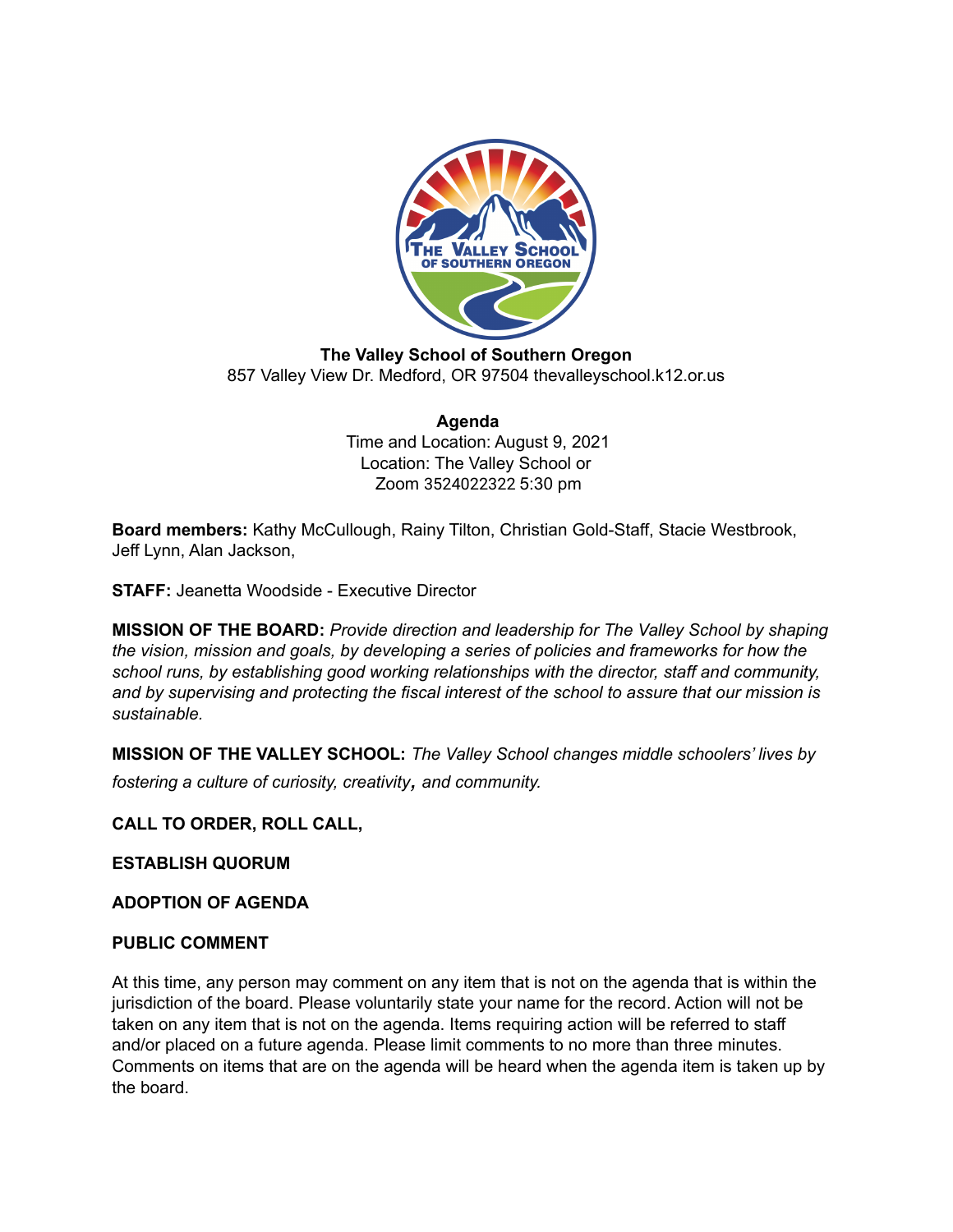

**The Valley School of Southern Oregon** 857 Valley View Dr. Medford, OR 97504 thevalleyschool.k12.or.us

> **Agenda** Time and Location: August 9, 2021 Location: The Valley School or Zoom 3524022322 5:30 pm

**Board members:** Kathy McCullough, Rainy Tilton, Christian Gold-Staff, Stacie Westbrook, Jeff Lynn, Alan Jackson,

**STAFF:** Jeanetta Woodside - Executive Director

**MISSION OF THE BOARD:** *Provide direction and leadership for The Valley School by shaping the vision, mission and goals, by developing a series of policies and frameworks for how the school runs, by establishing good working relationships with the director, staff and community, and by supervising and protecting the fiscal interest of the school to assure that our mission is sustainable.*

**MISSION OF THE VALLEY SCHOOL:** *The Valley School changes middle schoolers' lives by fostering <sup>a</sup> culture of curiosity, creativity, and community.*

**CALL TO ORDER, ROLL CALL,**

**ESTABLISH QUORUM**

**ADOPTION OF AGENDA**

### **PUBLIC COMMENT**

At this time, any person may comment on any item that is not on the agenda that is within the jurisdiction of the board. Please voluntarily state your name for the record. Action will not be taken on any item that is not on the agenda. Items requiring action will be referred to staff and/or placed on a future agenda. Please limit comments to no more than three minutes. Comments on items that are on the agenda will be heard when the agenda item is taken up by the board.